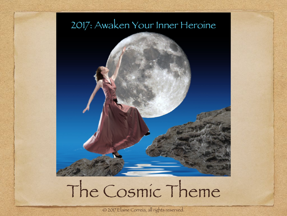#### 2017: Awaken Your Inner Heroine



## The Cosmic Theme

© 2017 Elaine Correia, all rights reserved.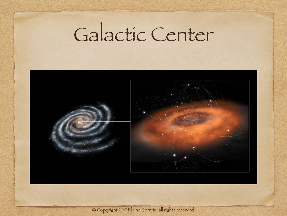### Galactic Center



© Copyright 2017 Elaine Correia, all rights reserved.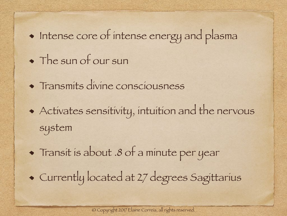#### Intense core of intense energy and plasma

- The sun of our sun
- Transmits divine consciousness
- Activates sensitivity, intuition and the nervous system

Transit is about .8 of a minute per year Currently located at 27 degrees Sagittarius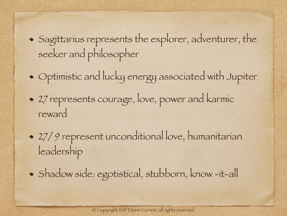- Sagittarius represents the explorer, adventurer, the seeker and philosopher
- Optimistic and lucky energy associated with Jupiter
- 27 represents courage, love, power and karmic reward
- 27/ 9 represent unconditional love, humanitarian leadership
- Shadow side: egotistical, stubborn, know -it-all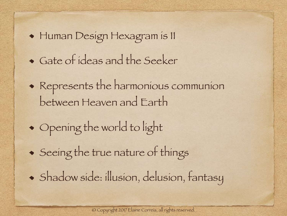Human Design Hexagram is 11 Gate of ideas and the Seeker Represents the harmonious communion between Heaven and Earth Opening the world to light Seeing the true nature of things Shadow side: illusion, delusion, fantasy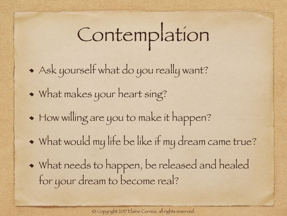# Contemplation

- Ask yourself what do you really want?
- What makes your heart sing?
- How willing are you to make it happen?
- What would my life be like if my dream came true?
- What needs to happen, be released and healed for your dream to become real?